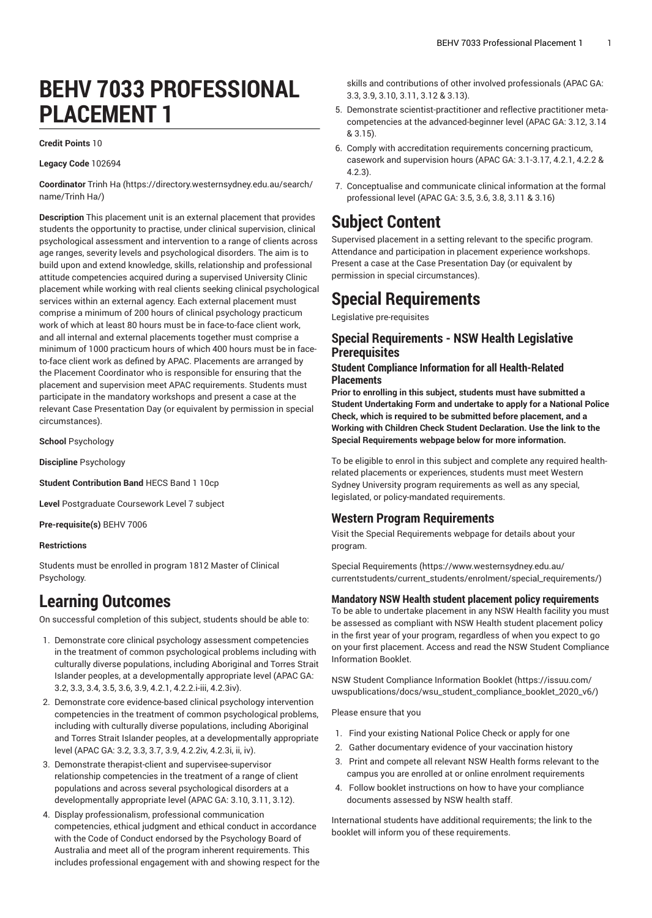# **BEHV 7033 PROFESSIONAL PLACEMENT 1**

#### **Credit Points** 10

#### **Legacy Code** 102694

**Coordinator** [Trinh](https://directory.westernsydney.edu.au/search/name/Trinh Ha/) Ha [\(https://directory.westernsydney.edu.au/search/](https://directory.westernsydney.edu.au/search/name/Trinh Ha/) [name/Trinh](https://directory.westernsydney.edu.au/search/name/Trinh Ha/) Ha/)

**Description** This placement unit is an external placement that provides students the opportunity to practise, under clinical supervision, clinical psychological assessment and intervention to a range of clients across age ranges, severity levels and psychological disorders. The aim is to build upon and extend knowledge, skills, relationship and professional attitude competencies acquired during a supervised University Clinic placement while working with real clients seeking clinical psychological services within an external agency. Each external placement must comprise a minimum of 200 hours of clinical psychology practicum work of which at least 80 hours must be in face-to-face client work, and all internal and external placements together must comprise a minimum of 1000 practicum hours of which 400 hours must be in faceto-face client work as defined by APAC. Placements are arranged by the Placement Coordinator who is responsible for ensuring that the placement and supervision meet APAC requirements. Students must participate in the mandatory workshops and present a case at the relevant Case Presentation Day (or equivalent by permission in special circumstances).

**School** Psychology

**Discipline** Psychology

**Student Contribution Band** HECS Band 1 10cp

**Level** Postgraduate Coursework Level 7 subject

**Pre-requisite(s)** [BEHV 7006](/search/?P=BEHV%207006)

#### **Restrictions**

Students must be enrolled in program 1812 Master of Clinical Psychology.

# **Learning Outcomes**

On successful completion of this subject, students should be able to:

- 1. Demonstrate core clinical psychology assessment competencies in the treatment of common psychological problems including with culturally diverse populations, including Aboriginal and Torres Strait Islander peoples, at a developmentally appropriate level (APAC GA: 3.2, 3.3, 3.4, 3.5, 3.6, 3.9, 4.2.1, 4.2.2.i-iii, 4.2.3iv).
- 2. Demonstrate core evidence-based clinical psychology intervention competencies in the treatment of common psychological problems, including with culturally diverse populations, including Aboriginal and Torres Strait Islander peoples, at a developmentally appropriate level (APAC GA: 3.2, 3.3, 3.7, 3.9, 4.2.2iv, 4.2.3i, ii, iv).
- 3. Demonstrate therapist-client and supervisee-supervisor relationship competencies in the treatment of a range of client populations and across several psychological disorders at a developmentally appropriate level (APAC GA: 3.10, 3.11, 3.12).
- 4. Display professionalism, professional communication competencies, ethical judgment and ethical conduct in accordance with the Code of Conduct endorsed by the Psychology Board of Australia and meet all of the program inherent requirements. This includes professional engagement with and showing respect for the

skills and contributions of other involved professionals (APAC GA: 3.3, 3.9, 3.10, 3.11, 3.12 & 3.13).

- 5. Demonstrate scientist-practitioner and reflective practitioner metacompetencies at the advanced-beginner level (APAC GA: 3.12, 3.14 & 3.15).
- 6. Comply with accreditation requirements concerning practicum, casework and supervision hours (APAC GA: 3.1-3.17, 4.2.1, 4.2.2 & 4.2.3).
- 7. Conceptualise and communicate clinical information at the formal professional level (APAC GA: 3.5, 3.6, 3.8, 3.11 & 3.16)

# **Subject Content**

Supervised placement in a setting relevant to the specific program. Attendance and participation in placement experience workshops. Present a case at the Case Presentation Day (or equivalent by permission in special circumstances).

# **Special Requirements**

Legislative pre-requisites

### **Special Requirements - NSW Health Legislative Prerequisites**

### **Student Compliance Information for all Health-Related Placements**

**Prior to enrolling in this subject, students must have submitted a Student Undertaking Form and undertake to apply for a National Police Check, which is required to be submitted before placement, and a Working with Children Check Student Declaration. Use the link to the Special Requirements webpage below for more information.**

To be eligible to enrol in this subject and complete any required healthrelated placements or experiences, students must meet Western Sydney University program requirements as well as any special, legislated, or policy-mandated requirements.

### **Western Program Requirements**

Visit the Special Requirements webpage for details about your program.

Special [Requirements \(https://www.westernsydney.edu.au/](https://www.westernsydney.edu.au/currentstudents/current_students/enrolment/special_requirements/) [currentstudents/current\\_students/enrolment/special\\_requirements/](https://www.westernsydney.edu.au/currentstudents/current_students/enrolment/special_requirements/))

#### **Mandatory NSW Health student placement policy requirements**

To be able to undertake placement in any NSW Health facility you must be assessed as compliant with NSW Health student placement policy in the first year of your program, regardless of when you expect to go on your first placement. Access and read the NSW Student Compliance Information Booklet.

[NSW Student Compliance Information Booklet](https://issuu.com/uwspublications/docs/wsu_student_compliance_booklet_2020_v6/) ([https://issuu.com/](https://issuu.com/uwspublications/docs/wsu_student_compliance_booklet_2020_v6/) [uwspublications/docs/wsu\\_student\\_compliance\\_booklet\\_2020\\_v6/](https://issuu.com/uwspublications/docs/wsu_student_compliance_booklet_2020_v6/))

Please ensure that you

- 1. Find your existing National Police Check or apply for one
- 2. Gather documentary evidence of your vaccination history
- 3. Print and compete all relevant NSW Health forms relevant to the campus you are enrolled at or online enrolment requirements
- 4. Follow booklet instructions on how to have your compliance documents assessed by NSW health staff.

International students have additional requirements; the link to the booklet will inform you of these requirements.